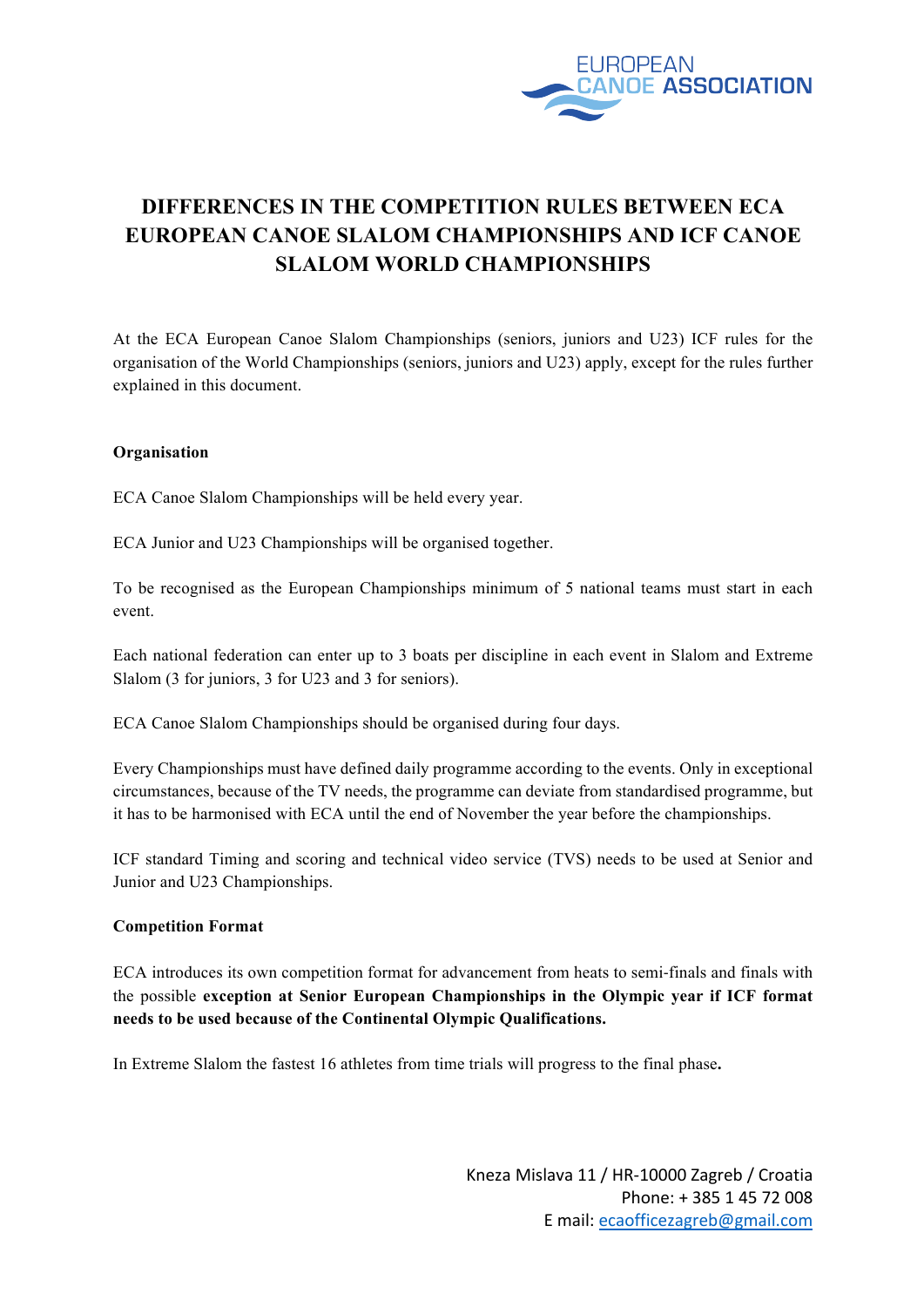

# **DIFFERENCES IN THE COMPETITION RULES BETWEEN ECA EUROPEAN CANOE SLALOM CHAMPIONSHIPS AND ICF CANOE SLALOM WORLD CHAMPIONSHIPS**

At the ECA European Canoe Slalom Championships (seniors, juniors and U23) ICF rules for the organisation of the World Championships (seniors, juniors and U23) apply, except for the rules further explained in this document.

# **Organisation**

ECA Canoe Slalom Championships will be held every year.

ECA Junior and U23 Championships will be organised together.

To be recognised as the European Championships minimum of 5 national teams must start in each event.

Each national federation can enter up to 3 boats per discipline in each event in Slalom and Extreme Slalom (3 for juniors, 3 for U23 and 3 for seniors).

ECA Canoe Slalom Championships should be organised during four days.

Every Championships must have defined daily programme according to the events. Only in exceptional circumstances, because of the TV needs, the programme can deviate from standardised programme, but it has to be harmonised with ECA until the end of November the year before the championships.

ICF standard Timing and scoring and technical video service (TVS) needs to be used at Senior and Junior and U23 Championships.

### **Competition Format**

ECA introduces its own competition format for advancement from heats to semi-finals and finals with the possible **exception at Senior European Championships in the Olympic year if ICF format needs to be used because of the Continental Olympic Qualifications.** 

In Extreme Slalom the fastest 16 athletes from time trials will progress to the final phase**.**

Kneza Mislava 11 / HR-10000 Zagreb / Croatia Phone: + 385 1 45 72 008 E mail: ecaofficezagreb@gmail.com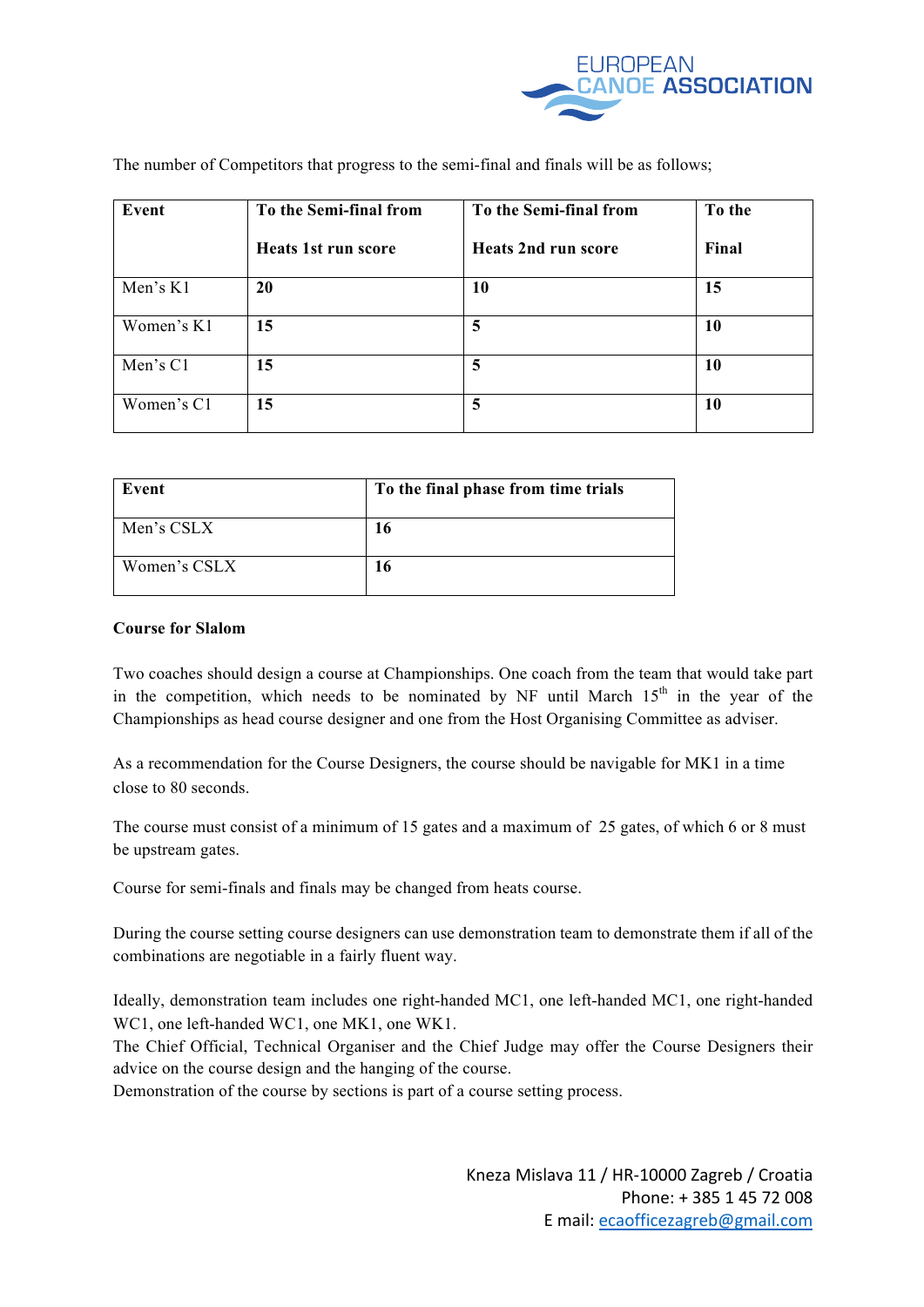

| Event      | To the Semi-final from     | To the Semi-final from     | To the |
|------------|----------------------------|----------------------------|--------|
|            | <b>Heats 1st run score</b> | <b>Heats 2nd run score</b> | Final  |
| Men's K1   | 20                         | 10                         | 15     |
| Women's K1 | 15                         | 5                          | 10     |
| Men's C1   | 15                         | 5                          | 10     |
| Women's C1 | 15                         | 5                          | 10     |

The number of Competitors that progress to the semi-final and finals will be as follows;

| Event        | To the final phase from time trials |
|--------------|-------------------------------------|
| Men's CSLX   | 16                                  |
| Women's CSLX | 16                                  |

# **Course for Slalom**

Two coaches should design a course at Championships. One coach from the team that would take part in the competition, which needs to be nominated by NF until March  $15<sup>th</sup>$  in the year of the Championships as head course designer and one from the Host Organising Committee as adviser.

As a recommendation for the Course Designers, the course should be navigable for MK1 in a time close to 80 seconds.

The course must consist of a minimum of 15 gates and a maximum of 25 gates, of which 6 or 8 must be upstream gates.

Course for semi-finals and finals may be changed from heats course.

During the course setting course designers can use demonstration team to demonstrate them if all of the combinations are negotiable in a fairly fluent way.

Ideally, demonstration team includes one right-handed MC1, one left-handed MC1, one right-handed WC1, one left-handed WC1, one MK1, one WK1.

The Chief Official, Technical Organiser and the Chief Judge may offer the Course Designers their advice on the course design and the hanging of the course.

Demonstration of the course by sections is part of a course setting process.